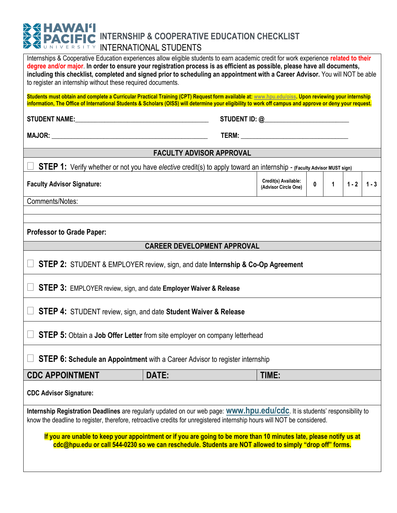## **EXPACIFIC INTERNSHIP & COOPERATIVE EDUCATION CHECKLIST INTERNATIONAL STUDENTS**

| Internships & Cooperative Education experiences allow eligible students to earn academic credit for work experience related to their<br>degree and/or major. In order to ensure your registration process is as efficient as possible, please have all documents,<br>including this checklist, completed and signed prior to scheduling an appointment with a Career Advisor. You will NOT be able<br>to register an internship without these required documents.<br>Students must obtain and complete a Curricular Practical Training (CPT) Request form available at: www.hpu.edu/oiss. Upon reviewing your internship<br>information, The Office of International Students & Scholars (OISS) will determine your eligibility to work off campus and approve or deny your request. |                                                                                                                                                                                                                                |                                              |              |              |         |         |  |  |  |  |
|--------------------------------------------------------------------------------------------------------------------------------------------------------------------------------------------------------------------------------------------------------------------------------------------------------------------------------------------------------------------------------------------------------------------------------------------------------------------------------------------------------------------------------------------------------------------------------------------------------------------------------------------------------------------------------------------------------------------------------------------------------------------------------------|--------------------------------------------------------------------------------------------------------------------------------------------------------------------------------------------------------------------------------|----------------------------------------------|--------------|--------------|---------|---------|--|--|--|--|
|                                                                                                                                                                                                                                                                                                                                                                                                                                                                                                                                                                                                                                                                                                                                                                                      |                                                                                                                                                                                                                                |                                              |              |              |         |         |  |  |  |  |
|                                                                                                                                                                                                                                                                                                                                                                                                                                                                                                                                                                                                                                                                                                                                                                                      |                                                                                                                                                                                                                                |                                              |              |              |         |         |  |  |  |  |
|                                                                                                                                                                                                                                                                                                                                                                                                                                                                                                                                                                                                                                                                                                                                                                                      |                                                                                                                                                                                                                                |                                              |              |              |         |         |  |  |  |  |
| <b>FACULTY ADVISOR APPROVAL</b>                                                                                                                                                                                                                                                                                                                                                                                                                                                                                                                                                                                                                                                                                                                                                      |                                                                                                                                                                                                                                |                                              |              |              |         |         |  |  |  |  |
| STEP 1: Verify whether or not you have elective credit(s) to apply toward an internship - (Faculty Advisor MUST sign)                                                                                                                                                                                                                                                                                                                                                                                                                                                                                                                                                                                                                                                                |                                                                                                                                                                                                                                |                                              |              |              |         |         |  |  |  |  |
| <b>Faculty Advisor Signature:</b>                                                                                                                                                                                                                                                                                                                                                                                                                                                                                                                                                                                                                                                                                                                                                    |                                                                                                                                                                                                                                | Credit(s) Available:<br>(Advisor Circle One) | $\mathbf{0}$ | $\mathbf{1}$ | $1 - 2$ | $1 - 3$ |  |  |  |  |
| Comments/Notes:                                                                                                                                                                                                                                                                                                                                                                                                                                                                                                                                                                                                                                                                                                                                                                      |                                                                                                                                                                                                                                |                                              |              |              |         |         |  |  |  |  |
|                                                                                                                                                                                                                                                                                                                                                                                                                                                                                                                                                                                                                                                                                                                                                                                      |                                                                                                                                                                                                                                |                                              |              |              |         |         |  |  |  |  |
| <b>Professor to Grade Paper:</b>                                                                                                                                                                                                                                                                                                                                                                                                                                                                                                                                                                                                                                                                                                                                                     |                                                                                                                                                                                                                                |                                              |              |              |         |         |  |  |  |  |
|                                                                                                                                                                                                                                                                                                                                                                                                                                                                                                                                                                                                                                                                                                                                                                                      | <b>CAREER DEVELOPMENT APPROVAL</b>                                                                                                                                                                                             |                                              |              |              |         |         |  |  |  |  |
| <b>STEP 2:</b> STUDENT & EMPLOYER review, sign, and date Internship & Co-Op Agreement                                                                                                                                                                                                                                                                                                                                                                                                                                                                                                                                                                                                                                                                                                |                                                                                                                                                                                                                                |                                              |              |              |         |         |  |  |  |  |
| $\Box$ STEP 3: EMPLOYER review, sign, and date Employer Waiver & Release                                                                                                                                                                                                                                                                                                                                                                                                                                                                                                                                                                                                                                                                                                             |                                                                                                                                                                                                                                |                                              |              |              |         |         |  |  |  |  |
| $\Box$ STEP 4: STUDENT review, sign, and date Student Waiver & Release                                                                                                                                                                                                                                                                                                                                                                                                                                                                                                                                                                                                                                                                                                               |                                                                                                                                                                                                                                |                                              |              |              |         |         |  |  |  |  |
| $\Box$                                                                                                                                                                                                                                                                                                                                                                                                                                                                                                                                                                                                                                                                                                                                                                               | <b>STEP 5:</b> Obtain a Job Offer Letter from site employer on company letterhead                                                                                                                                              |                                              |              |              |         |         |  |  |  |  |
| <b>STEP 6: Schedule an Appointment</b> with a Career Advisor to register internship                                                                                                                                                                                                                                                                                                                                                                                                                                                                                                                                                                                                                                                                                                  |                                                                                                                                                                                                                                |                                              |              |              |         |         |  |  |  |  |
| <b>CDC APPOINTMENT</b>                                                                                                                                                                                                                                                                                                                                                                                                                                                                                                                                                                                                                                                                                                                                                               | DATE:                                                                                                                                                                                                                          | TIME:                                        |              |              |         |         |  |  |  |  |
| <b>CDC Advisor Signature:</b>                                                                                                                                                                                                                                                                                                                                                                                                                                                                                                                                                                                                                                                                                                                                                        |                                                                                                                                                                                                                                |                                              |              |              |         |         |  |  |  |  |
| Internship Registration Deadlines are regularly updated on our web page: <b>WWW.hpu.edu/cdc</b> . It is students' responsibility to<br>know the deadline to register, therefore, retroactive credits for unregistered internship hours will NOT be considered.                                                                                                                                                                                                                                                                                                                                                                                                                                                                                                                       |                                                                                                                                                                                                                                |                                              |              |              |         |         |  |  |  |  |
|                                                                                                                                                                                                                                                                                                                                                                                                                                                                                                                                                                                                                                                                                                                                                                                      | If you are unable to keep your appointment or if you are going to be more than 10 minutes late, please notify us at<br>cdc@hpu.edu or call 544-0230 so we can reschedule. Students are NOT allowed to simply "drop off" forms. |                                              |              |              |         |         |  |  |  |  |